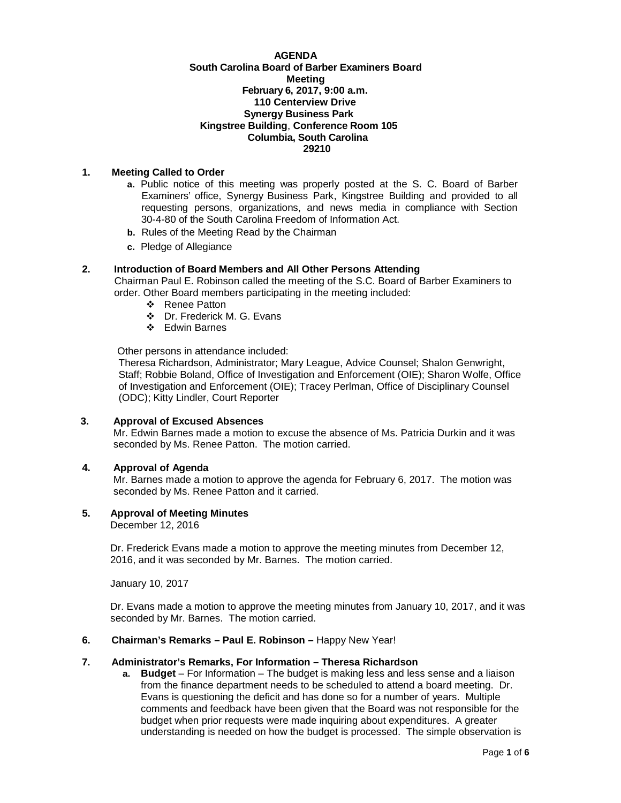#### **AGENDA South Carolina Board of Barber Examiners Board Meeting February 6, 2017, 9:00 a.m. 110 Centerview Drive Synergy Business Park Kingstree Building**, **Conference Room 105 Columbia, South Carolina 29210**

## **1. Meeting Called to Order**

- **a.** Public notice of this meeting was properly posted at the S. C. Board of Barber Examiners' office, Synergy Business Park, Kingstree Building and provided to all requesting persons, organizations, and news media in compliance with Section 30-4-80 of the South Carolina Freedom of Information Act.
- **b.** Rules of the Meeting Read by the Chairman
- **c.** Pledge of Allegiance

## **2. Introduction of Board Members and All Other Persons Attending**

Chairman Paul E. Robinson called the meeting of the S.C. Board of Barber Examiners to order. Other Board members participating in the meeting included:

- ❖ Renee Patton
- Dr. Frederick M. G. Evans
- Edwin Barnes

Other persons in attendance included:

Theresa Richardson, Administrator; Mary League, Advice Counsel; Shalon Genwright, Staff; Robbie Boland, Office of Investigation and Enforcement (OIE); Sharon Wolfe, Office of Investigation and Enforcement (OIE); Tracey Perlman, Office of Disciplinary Counsel (ODC); Kitty Lindler, Court Reporter

## **3. Approval of Excused Absences**

Mr. Edwin Barnes made a motion to excuse the absence of Ms. Patricia Durkin and it was seconded by Ms. Renee Patton. The motion carried.

## **4. Approval of Agenda**

Mr. Barnes made a motion to approve the agenda for February 6, 2017. The motion was seconded by Ms. Renee Patton and it carried.

## **5. Approval of Meeting Minutes**

December 12, 2016

Dr. Frederick Evans made a motion to approve the meeting minutes from December 12, 2016, and it was seconded by Mr. Barnes. The motion carried.

January 10, 2017

Dr. Evans made a motion to approve the meeting minutes from January 10, 2017, and it was seconded by Mr. Barnes. The motion carried.

## **6. Chairman's Remarks – Paul E. Robinson –** Happy New Year!

## **7. Administrator's Remarks, For Information – Theresa Richardson**

**a. Budget** – For Information – The budget is making less and less sense and a liaison from the finance department needs to be scheduled to attend a board meeting. Dr. Evans is questioning the deficit and has done so for a number of years. Multiple comments and feedback have been given that the Board was not responsible for the budget when prior requests were made inquiring about expenditures. A greater understanding is needed on how the budget is processed. The simple observation is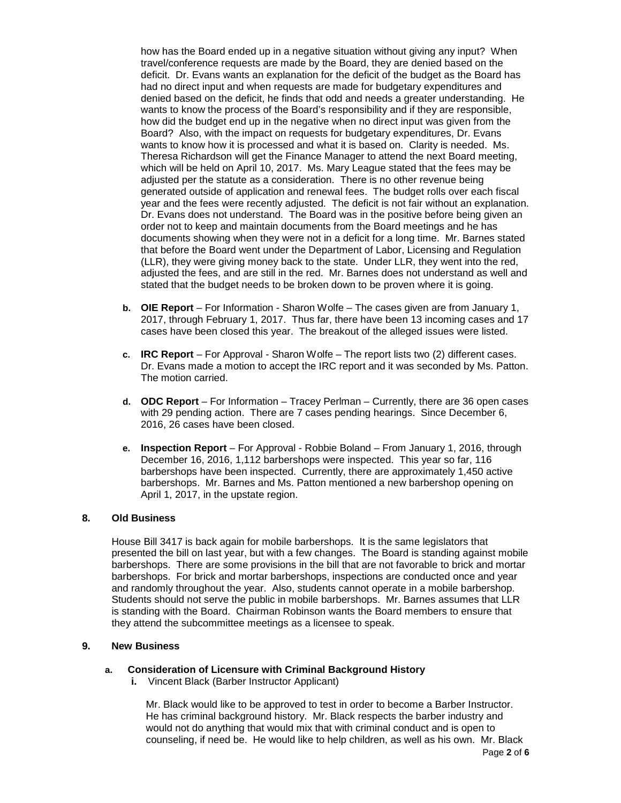how has the Board ended up in a negative situation without giving any input? When travel/conference requests are made by the Board, they are denied based on the deficit. Dr. Evans wants an explanation for the deficit of the budget as the Board has had no direct input and when requests are made for budgetary expenditures and denied based on the deficit, he finds that odd and needs a greater understanding. He wants to know the process of the Board's responsibility and if they are responsible, how did the budget end up in the negative when no direct input was given from the Board? Also, with the impact on requests for budgetary expenditures, Dr. Evans wants to know how it is processed and what it is based on. Clarity is needed. Ms. Theresa Richardson will get the Finance Manager to attend the next Board meeting, which will be held on April 10, 2017. Ms. Mary League stated that the fees may be adjusted per the statute as a consideration. There is no other revenue being generated outside of application and renewal fees. The budget rolls over each fiscal year and the fees were recently adjusted. The deficit is not fair without an explanation. Dr. Evans does not understand. The Board was in the positive before being given an order not to keep and maintain documents from the Board meetings and he has documents showing when they were not in a deficit for a long time. Mr. Barnes stated that before the Board went under the Department of Labor, Licensing and Regulation (LLR), they were giving money back to the state. Under LLR, they went into the red, adjusted the fees, and are still in the red. Mr. Barnes does not understand as well and stated that the budget needs to be broken down to be proven where it is going.

- **b. OIE Report**  For Information Sharon Wolfe The cases given are from January 1, 2017, through February 1, 2017. Thus far, there have been 13 incoming cases and 17 cases have been closed this year. The breakout of the alleged issues were listed.
- **c. IRC Report**  For Approval Sharon Wolfe The report lists two (2) different cases. Dr. Evans made a motion to accept the IRC report and it was seconded by Ms. Patton. The motion carried.
- **d. ODC Report**  For Information Tracey Perlman Currently, there are 36 open cases with 29 pending action. There are 7 cases pending hearings. Since December 6, 2016, 26 cases have been closed.
- **e. Inspection Report** For Approval Robbie Boland From January 1, 2016, through December 16, 2016, 1,112 barbershops were inspected. This year so far, 116 barbershops have been inspected. Currently, there are approximately 1,450 active barbershops. Mr. Barnes and Ms. Patton mentioned a new barbershop opening on April 1, 2017, in the upstate region.

# **8. Old Business**

House Bill 3417 is back again for mobile barbershops. It is the same legislators that presented the bill on last year, but with a few changes. The Board is standing against mobile barbershops. There are some provisions in the bill that are not favorable to brick and mortar barbershops. For brick and mortar barbershops, inspections are conducted once and year and randomly throughout the year. Also, students cannot operate in a mobile barbershop. Students should not serve the public in mobile barbershops. Mr. Barnes assumes that LLR is standing with the Board. Chairman Robinson wants the Board members to ensure that they attend the subcommittee meetings as a licensee to speak.

## **9. New Business**

## **a. Consideration of Licensure with Criminal Background History**

**i.** Vincent Black (Barber Instructor Applicant)

Mr. Black would like to be approved to test in order to become a Barber Instructor. He has criminal background history. Mr. Black respects the barber industry and would not do anything that would mix that with criminal conduct and is open to counseling, if need be. He would like to help children, as well as his own. Mr. Black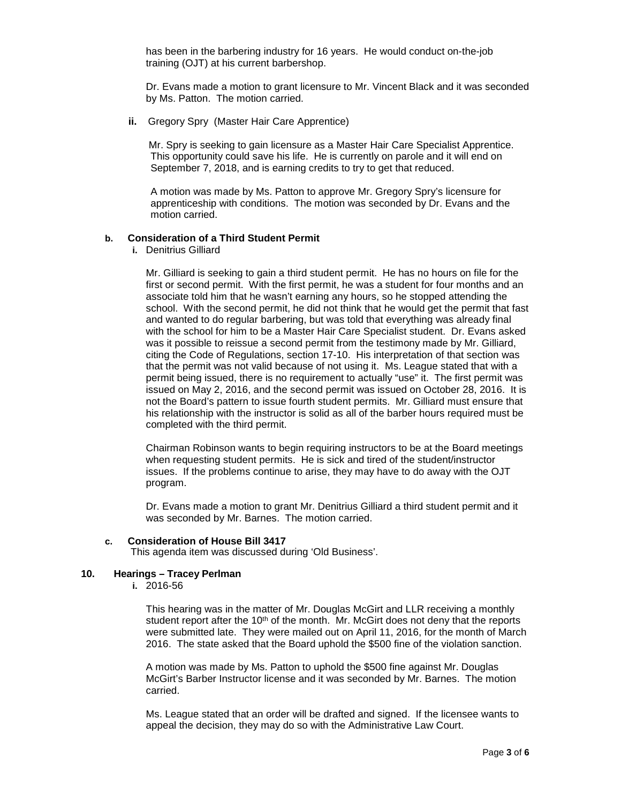has been in the barbering industry for 16 years. He would conduct on-the-job training (OJT) at his current barbershop.

Dr. Evans made a motion to grant licensure to Mr. Vincent Black and it was seconded by Ms. Patton. The motion carried.

**ii.** Gregory Spry (Master Hair Care Apprentice)

Mr. Spry is seeking to gain licensure as a Master Hair Care Specialist Apprentice. This opportunity could save his life. He is currently on parole and it will end on September 7, 2018, and is earning credits to try to get that reduced.

A motion was made by Ms. Patton to approve Mr. Gregory Spry's licensure for apprenticeship with conditions. The motion was seconded by Dr. Evans and the motion carried.

#### **b. Consideration of a Third Student Permit**

**i.** Denitrius Gilliard

Mr. Gilliard is seeking to gain a third student permit. He has no hours on file for the first or second permit. With the first permit, he was a student for four months and an associate told him that he wasn't earning any hours, so he stopped attending the school. With the second permit, he did not think that he would get the permit that fast and wanted to do regular barbering, but was told that everything was already final with the school for him to be a Master Hair Care Specialist student. Dr. Evans asked was it possible to reissue a second permit from the testimony made by Mr. Gilliard, citing the Code of Regulations, section 17-10. His interpretation of that section was that the permit was not valid because of not using it. Ms. League stated that with a permit being issued, there is no requirement to actually "use" it. The first permit was issued on May 2, 2016, and the second permit was issued on October 28, 2016. It is not the Board's pattern to issue fourth student permits. Mr. Gilliard must ensure that his relationship with the instructor is solid as all of the barber hours required must be completed with the third permit.

Chairman Robinson wants to begin requiring instructors to be at the Board meetings when requesting student permits. He is sick and tired of the student/instructor issues. If the problems continue to arise, they may have to do away with the OJT program.

Dr. Evans made a motion to grant Mr. Denitrius Gilliard a third student permit and it was seconded by Mr. Barnes. The motion carried.

#### **c. Consideration of House Bill 3417**

This agenda item was discussed during 'Old Business'.

## **10. Hearings – Tracey Perlman**

**i.** 2016-56

This hearing was in the matter of Mr. Douglas McGirt and LLR receiving a monthly student report after the  $10<sup>th</sup>$  of the month. Mr. McGirt does not deny that the reports were submitted late. They were mailed out on April 11, 2016, for the month of March 2016. The state asked that the Board uphold the \$500 fine of the violation sanction.

A motion was made by Ms. Patton to uphold the \$500 fine against Mr. Douglas McGirt's Barber Instructor license and it was seconded by Mr. Barnes. The motion carried.

Ms. League stated that an order will be drafted and signed. If the licensee wants to appeal the decision, they may do so with the Administrative Law Court.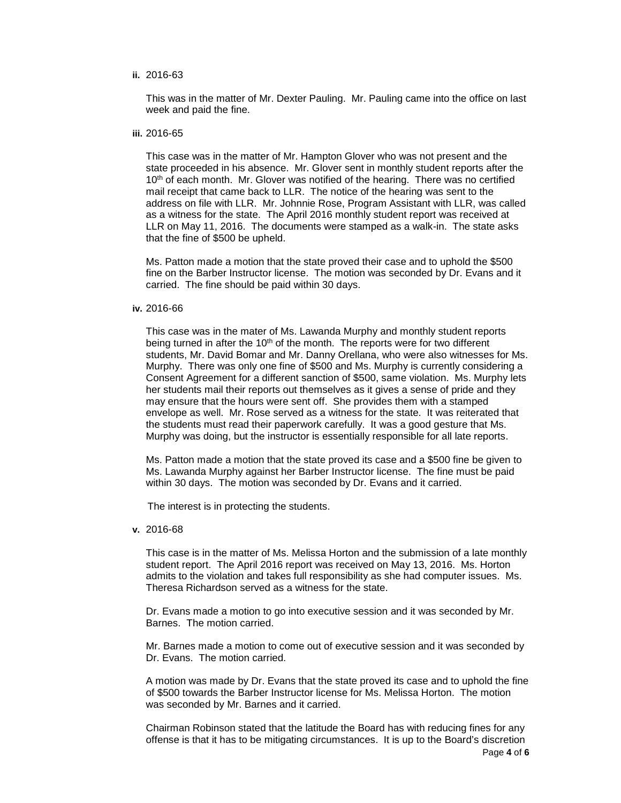#### **ii.** 2016-63

This was in the matter of Mr. Dexter Pauling. Mr. Pauling came into the office on last week and paid the fine.

#### **iii.** 2016-65

This case was in the matter of Mr. Hampton Glover who was not present and the state proceeded in his absence. Mr. Glover sent in monthly student reports after the 10<sup>th</sup> of each month. Mr. Glover was notified of the hearing. There was no certified mail receipt that came back to LLR. The notice of the hearing was sent to the address on file with LLR. Mr. Johnnie Rose, Program Assistant with LLR, was called as a witness for the state. The April 2016 monthly student report was received at LLR on May 11, 2016. The documents were stamped as a walk-in. The state asks that the fine of \$500 be upheld.

Ms. Patton made a motion that the state proved their case and to uphold the \$500 fine on the Barber Instructor license. The motion was seconded by Dr. Evans and it carried. The fine should be paid within 30 days.

#### **iv.** 2016-66

This case was in the mater of Ms. Lawanda Murphy and monthly student reports being turned in after the  $10<sup>th</sup>$  of the month. The reports were for two different students, Mr. David Bomar and Mr. Danny Orellana, who were also witnesses for Ms. Murphy. There was only one fine of \$500 and Ms. Murphy is currently considering a Consent Agreement for a different sanction of \$500, same violation. Ms. Murphy lets her students mail their reports out themselves as it gives a sense of pride and they may ensure that the hours were sent off. She provides them with a stamped envelope as well. Mr. Rose served as a witness for the state. It was reiterated that the students must read their paperwork carefully. It was a good gesture that Ms. Murphy was doing, but the instructor is essentially responsible for all late reports.

Ms. Patton made a motion that the state proved its case and a \$500 fine be given to Ms. Lawanda Murphy against her Barber Instructor license. The fine must be paid within 30 days. The motion was seconded by Dr. Evans and it carried.

The interest is in protecting the students.

#### **v.** 2016-68

This case is in the matter of Ms. Melissa Horton and the submission of a late monthly student report. The April 2016 report was received on May 13, 2016. Ms. Horton admits to the violation and takes full responsibility as she had computer issues. Ms. Theresa Richardson served as a witness for the state.

Dr. Evans made a motion to go into executive session and it was seconded by Mr. Barnes. The motion carried.

Mr. Barnes made a motion to come out of executive session and it was seconded by Dr. Evans. The motion carried.

A motion was made by Dr. Evans that the state proved its case and to uphold the fine of \$500 towards the Barber Instructor license for Ms. Melissa Horton. The motion was seconded by Mr. Barnes and it carried.

Chairman Robinson stated that the latitude the Board has with reducing fines for any offense is that it has to be mitigating circumstances. It is up to the Board's discretion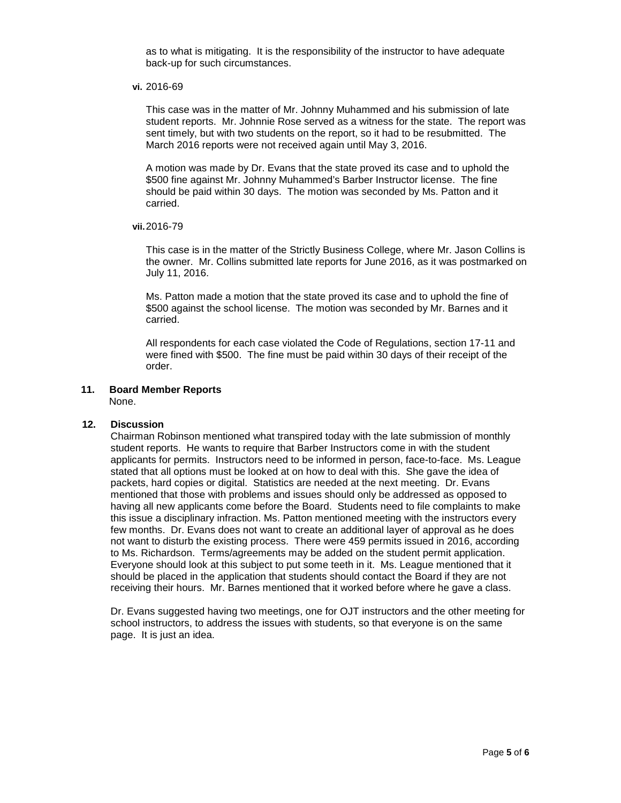as to what is mitigating. It is the responsibility of the instructor to have adequate back-up for such circumstances.

**vi.** 2016-69

This case was in the matter of Mr. Johnny Muhammed and his submission of late student reports. Mr. Johnnie Rose served as a witness for the state. The report was sent timely, but with two students on the report, so it had to be resubmitted. The March 2016 reports were not received again until May 3, 2016.

A motion was made by Dr. Evans that the state proved its case and to uphold the \$500 fine against Mr. Johnny Muhammed's Barber Instructor license. The fine should be paid within 30 days. The motion was seconded by Ms. Patton and it carried.

**vii.**2016-79

This case is in the matter of the Strictly Business College, where Mr. Jason Collins is the owner. Mr. Collins submitted late reports for June 2016, as it was postmarked on July 11, 2016.

Ms. Patton made a motion that the state proved its case and to uphold the fine of \$500 against the school license. The motion was seconded by Mr. Barnes and it carried.

All respondents for each case violated the Code of Regulations, section 17-11 and were fined with \$500. The fine must be paid within 30 days of their receipt of the order.

#### **11. Board Member Reports**

None.

## **12. Discussion**

Chairman Robinson mentioned what transpired today with the late submission of monthly student reports. He wants to require that Barber Instructors come in with the student applicants for permits. Instructors need to be informed in person, face-to-face. Ms. League stated that all options must be looked at on how to deal with this. She gave the idea of packets, hard copies or digital. Statistics are needed at the next meeting. Dr. Evans mentioned that those with problems and issues should only be addressed as opposed to having all new applicants come before the Board. Students need to file complaints to make this issue a disciplinary infraction. Ms. Patton mentioned meeting with the instructors every few months. Dr. Evans does not want to create an additional layer of approval as he does not want to disturb the existing process. There were 459 permits issued in 2016, according to Ms. Richardson. Terms/agreements may be added on the student permit application. Everyone should look at this subject to put some teeth in it. Ms. League mentioned that it should be placed in the application that students should contact the Board if they are not receiving their hours. Mr. Barnes mentioned that it worked before where he gave a class.

Dr. Evans suggested having two meetings, one for OJT instructors and the other meeting for school instructors, to address the issues with students, so that everyone is on the same page. It is just an idea.